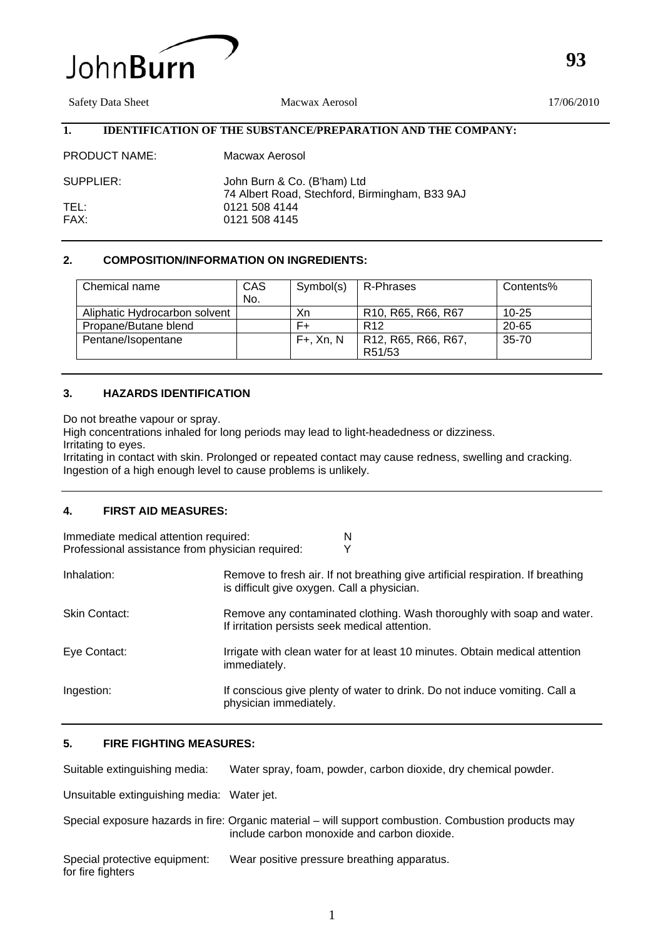

Safety Data Sheet Macwax Aerosol 17/06/2010

# **1. IDENTIFICATION OF THE SUBSTANCE/PREPARATION AND THE COMPANY:**

| <b>PRODUCT NAME:</b> | Macwax Aerosol                                                                |
|----------------------|-------------------------------------------------------------------------------|
| SUPPLIER:            | John Burn & Co. (B'ham) Ltd<br>74 Albert Road, Stechford, Birmingham, B33 9AJ |
| TEL:                 | 0121 508 4144                                                                 |
| FAX:                 | 0121 508 4145                                                                 |

# **2. COMPOSITION/INFORMATION ON INGREDIENTS:**

| Chemical name                 | CAS<br>No. | Symbol(s)       | R-Phrases                                                             | Contents% |
|-------------------------------|------------|-----------------|-----------------------------------------------------------------------|-----------|
| Aliphatic Hydrocarbon solvent |            | Xn              | R <sub>10</sub> , R <sub>65</sub> , R <sub>66</sub> , R <sub>67</sub> | $10 - 25$ |
| Propane/Butane blend          |            | F+              | R <sub>12</sub>                                                       | $20 - 65$ |
| Pentane/Isopentane            |            | $F+$ , $Xn$ , N | R12, R65, R66, R67,<br>R51/53                                         | $35 - 70$ |

# **3. HAZARDS IDENTIFICATION**

Do not breathe vapour or spray.

High concentrations inhaled for long periods may lead to light-headedness or dizziness. Irritating to eyes.

Irritating in contact with skin. Prolonged or repeated contact may cause redness, swelling and cracking. Ingestion of a high enough level to cause problems is unlikely.

# **4. FIRST AID MEASURES:**

| Immediate medical attention required:<br>Professional assistance from physician required: | N<br>Y                                                                                                                         |
|-------------------------------------------------------------------------------------------|--------------------------------------------------------------------------------------------------------------------------------|
| Inhalation:                                                                               | Remove to fresh air. If not breathing give artificial respiration. If breathing<br>is difficult give oxygen. Call a physician. |
| <b>Skin Contact:</b>                                                                      | Remove any contaminated clothing. Wash thoroughly with soap and water.<br>If irritation persists seek medical attention.       |
| Eye Contact:                                                                              | Irrigate with clean water for at least 10 minutes. Obtain medical attention<br>immediately.                                    |
| Ingestion:                                                                                | If conscious give plenty of water to drink. Do not induce vomiting. Call a<br>physician immediately.                           |

## **5. FIRE FIGHTING MEASURES:**

Suitable extinguishing media: Water spray, foam, powder, carbon dioxide, dry chemical powder.

Unsuitable extinguishing media: Water jet.

|                                                    | Special exposure hazards in fire: Organic material – will support combustion. Combustion products may<br>include carbon monoxide and carbon dioxide. |
|----------------------------------------------------|------------------------------------------------------------------------------------------------------------------------------------------------------|
| Special protective equipment:<br>for fire fighters | Wear positive pressure breathing apparatus.                                                                                                          |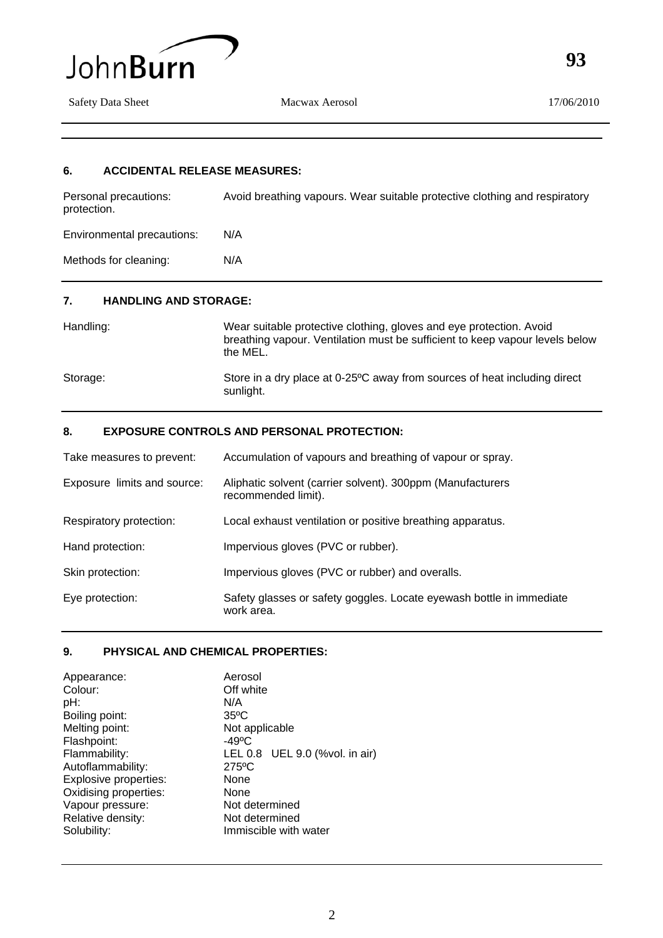

Safety Data Sheet Macwax Aerosol 17/06/2010

**93**

## **6. ACCIDENTAL RELEASE MEASURES:**

| Personal precautions:<br>protection. | Avoid breathing vapours. Wear suitable protective clothing and respiratory |
|--------------------------------------|----------------------------------------------------------------------------|
| Environmental precautions:           | N/A                                                                        |
| Methods for cleaning:                | N/A                                                                        |
| ,,,,,,,,,,,,,,,,,,,,,,,              |                                                                            |

# **7. HANDLING AND STORAGE:**

| Handling: | Wear suitable protective clothing, gloves and eye protection. Avoid<br>breathing vapour. Ventilation must be sufficient to keep vapour levels below<br>the MEL. |
|-----------|-----------------------------------------------------------------------------------------------------------------------------------------------------------------|
| Storage:  | Store in a dry place at 0-25°C away from sources of heat including direct<br>sunlight.                                                                          |

# **8. EXPOSURE CONTROLS AND PERSONAL PROTECTION:**

| Take measures to prevent:   | Accumulation of vapours and breathing of vapour or spray.                          |
|-----------------------------|------------------------------------------------------------------------------------|
| Exposure limits and source: | Aliphatic solvent (carrier solvent). 300ppm (Manufacturers<br>recommended limit).  |
| Respiratory protection:     | Local exhaust ventilation or positive breathing apparatus.                         |
| Hand protection:            | Impervious gloves (PVC or rubber).                                                 |
| Skin protection:            | Impervious gloves (PVC or rubber) and overalls.                                    |
| Eye protection:             | Safety glasses or safety goggles. Locate eyewash bottle in immediate<br>work area. |

## **9. PHYSICAL AND CHEMICAL PROPERTIES:**

| Appearance:           | Aerosol                        |
|-----------------------|--------------------------------|
| Colour:               | Off white                      |
| pH:                   | N/A                            |
| Boiling point:        | $35^{\circ}$ C                 |
| Melting point:        | Not applicable                 |
| Flashpoint:           | $-49^{\circ}$ C                |
| Flammability:         | LEL 0.8 UEL 9.0 (%vol. in air) |
| Autoflammability:     | $275$ °C                       |
| Explosive properties: | None                           |
| Oxidising properties: | None                           |
| Vapour pressure:      | Not determined                 |
| Relative density:     | Not determined                 |
| Solubility:           | Immiscible with water          |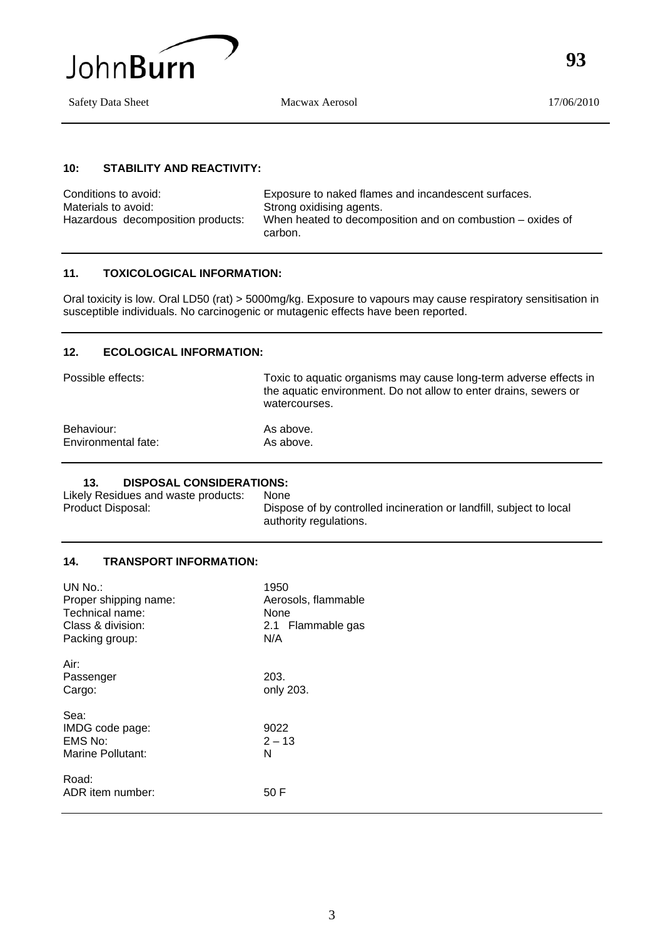

Safety Data Sheet Macwax Aerosol 17/06/2010

**93**

#### **10: STABILITY AND REACTIVITY:**

Conditions to avoid: Exposure to naked flames and incandescent surfaces. Materials to avoid: Strong oxidising agents.<br>Hazardous decomposition products: When heated to decomp When heated to decomposition and on combustion – oxides of carbon.

## **11. TOXICOLOGICAL INFORMATION:**

Oral toxicity is low. Oral LD50 (rat) > 5000mg/kg. Exposure to vapours may cause respiratory sensitisation in susceptible individuals. No carcinogenic or mutagenic effects have been reported.

## **12. ECOLOGICAL INFORMATION:**

Possible effects: Toxic to aquatic organisms may cause long-term adverse effects in the aquatic environment. Do not allow to enter drains, sewers or watercourses.

| Behaviour:          | As above. |
|---------------------|-----------|
| Environmental fate: | As above. |

# **13. DISPOSAL CONSIDERATIONS:**<br>Ily Residues and waste products: None

Likely Residues and waste products:<br>Product Disposal:

Dispose of by controlled incineration or landfill, subject to local authority regulations.

## **14. TRANSPORT INFORMATION:**

| UN No.                     | 1950                |
|----------------------------|---------------------|
| Proper shipping name:      | Aerosols, flammable |
| Technical name:            | None                |
| Class & division:          | 2.1 Flammable gas   |
| Packing group:             | N/A                 |
|                            |                     |
| Air:                       |                     |
| Passenger                  | 203.                |
| Cargo:                     | only 203.           |
| Sea:                       |                     |
|                            | 9022                |
| IMDG code page:<br>EMS No: | $2 - 13$            |
| Marine Pollutant:          | N                   |
|                            |                     |
| Road:                      |                     |
| ADR item number:           | 50 F                |
|                            |                     |